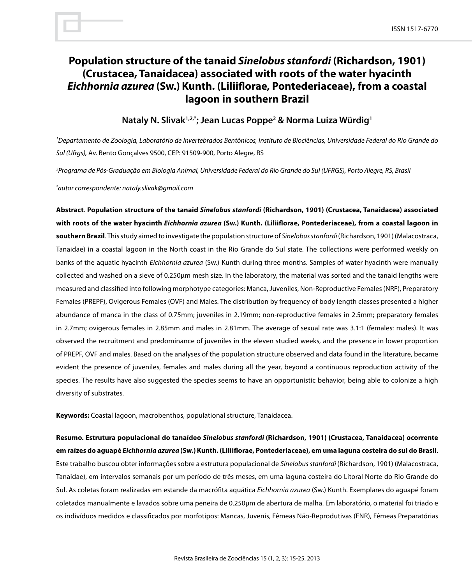# **Population structure of the tanaid** *Sinelobus stanfordi* **(Richardson, 1901) (Crustacea, Tanaidacea) associated with roots of the water hyacinth** *Eichhornia azurea* **(Sw.) Kunth. (Liliiflorae, Pontederiaceae), from a coastal lagoon in southern Brazil**

## **Nataly N. Slivak1,2,\*; Jean Lucas Poppe2 & Norma Luiza Würdig1**

*1 Departamento de Zoologia, Laboratório de Invertebrados Bentônicos, Instituto de Biociências, Universidade Federal do Rio Grande do Sul (Ufrgs),* Av. Bento Gonçalves 9500, CEP: 91509-900, Porto Alegre, RS

*2 Programa de Pós-Graduação em Biologia Animal, Universidade Federal do Rio Grande do Sul (UFRGS), Porto Alegre, RS, Brasil*

*\* autor correspondente: nataly.slivak@gmail.com* 

**Abstract**. **Population structure of the tanaid** *Sinelobus stanfordi* **(Richardson, 1901) (Crustacea, Tanaidacea) associated with roots of the water hyacinth** *Eichhornia azurea* **(Sw.) Kunth. (Liliiflorae, Pontederiaceae), from a coastal lagoon in southern Brazil**. This study aimed to investigate the population structure of *Sinelobus stanfordi* (Richardson, 1901) (Malacostraca, Tanaidae) in a coastal lagoon in the North coast in the Rio Grande do Sul state. The collections were performed weekly on banks of the aquatic hyacinth *Eichhornia azurea* (Sw.) Kunth during three months. Samples of water hyacinth were manually collected and washed on a sieve of 0.250µm mesh size. In the laboratory, the material was sorted and the tanaid lengths were measured and classified into following morphotype categories: Manca, Juveniles, Non-Reproductive Females (NRF), Preparatory Females (PREPF), Ovigerous Females (OVF) and Males. The distribution by frequency of body length classes presented a higher abundance of manca in the class of 0.75mm; juveniles in 2.19mm; non-reproductive females in 2.5mm; preparatory females in 2.7mm; ovigerous females in 2.85mm and males in 2.81mm. The average of sexual rate was 3.1:1 (females: males). It was observed the recruitment and predominance of juveniles in the eleven studied weeks, and the presence in lower proportion of PREPF, OVF and males. Based on the analyses of the population structure observed and data found in the literature, became evident the presence of juveniles, females and males during all the year, beyond a continuous reproduction activity of the species. The results have also suggested the species seems to have an opportunistic behavior, being able to colonize a high diversity of substrates.

**Keywords:** Coastal lagoon, macrobenthos, populational structure, Tanaidacea.

**Resumo. Estrutura populacional do tanaídeo** *Sinelobus stanfordi* **(Richardson, 1901) (Crustacea, Tanaidacea) ocorrente em raízes do aguapé** *Eichhornia azurea* **(Sw.) Kunth. (Liliiflorae, Pontederiaceae), em uma laguna costeira do sul do Brasil**. Este trabalho buscou obter informações sobre a estrutura populacional de *Sinelobus stanfordi* (Richardson, 1901) (Malacostraca, Tanaidae), em intervalos semanais por um período de três meses, em uma laguna costeira do Litoral Norte do Rio Grande do Sul. As coletas foram realizadas em estande da macrófita aquática *Eichhornia azurea* (Sw.) Kunth. Exemplares do aguapé foram coletados manualmente e lavados sobre uma peneira de 0.250µm de abertura de malha. Em laboratório, o material foi triado e os indivíduos medidos e classificados por morfotipos: Mancas, Juvenis, Fêmeas Não-Reprodutivas (FNR), Fêmeas Preparatórias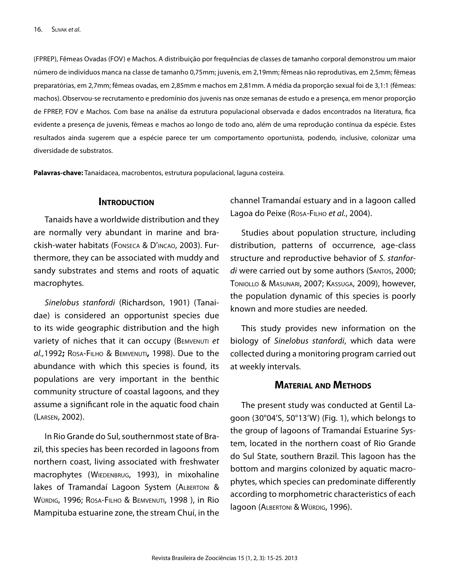(FPREP), Fêmeas Ovadas (FOV) e Machos. A distribuição por frequências de classes de tamanho corporal demonstrou um maior número de indivíduos manca na classe de tamanho 0,75mm; juvenis, em 2,19mm; fêmeas não reprodutivas, em 2,5mm; fêmeas preparatórias, em 2,7mm; fêmeas ovadas, em 2,85mm e machos em 2,81mm. A média da proporção sexual foi de 3,1:1 (fêmeas: machos). Observou-se recrutamento e predomínio dos juvenis nas onze semanas de estudo e a presença, em menor proporção de FPREP, FOV e Machos. Com base na análise da estrutura populacional observada e dados encontrados na literatura, fica evidente a presença de juvenis, fêmeas e machos ao longo de todo ano, além de uma reprodução contínua da espécie. Estes resultados ainda sugerem que a espécie parece ter um comportamento oportunista, podendo, inclusive, colonizar uma diversidade de substratos.

**Palavras-chave:** Tanaidacea, macrobentos, estrutura populacional, laguna costeira.

#### **INTRODUCTION**

Tanaids have a worldwide distribution and they are normally very abundant in marine and brackish-water habitats (Fonseca & D'incao, 2003). Furthermore, they can be associated with muddy and sandy substrates and stems and roots of aquatic macrophytes.

*Sinelobus stanfordi* (Richardson, 1901) (Tanaidae) is considered an opportunist species due to its wide geographic distribution and the high variety of niches that it can occupy (Bemvenuti *et al.,*1992**;** Rosa-Filho & Bemvenuti**,** 1998). Due to the abundance with which this species is found, its populations are very important in the benthic community structure of coastal lagoons, and they assume a significant role in the aquatic food chain (Larsen, 2002).

In Rio Grande do Sul, southernmost state of Brazil, this species has been recorded in lagoons from northern coast, living associated with freshwater macrophytes (WIEDENBRUG, 1993), in mixohaline lakes of Tramandaí Lagoon System (ALBERTONI & WÜRDIG, 1996; ROSA-FILHO & BEMVENUTI, 1998), in Rio Mampituba estuarine zone, the stream Chuí, in the channel Tramandaí estuary and in a lagoon called Lagoa do Peixe (Rosa-Filho *et al.*, 2004).

Studies about population structure, including distribution, patterns of occurrence, age-class structure and reproductive behavior of *S. stanfordi* were carried out by some authors (Santos, 2000; Toniollo & Masunari, 2007; Kassuga, 2009), however, the population dynamic of this species is poorly known and more studies are needed.

This study provides new information on the biology of *Sinelobus stanfordi*, which data were collected during a monitoring program carried out at weekly intervals.

## **Material and Methods**

The present study was conducted at Gentil Lagoon (30°04'S, 50°13'W) (Fig. 1), which belongs to the group of lagoons of Tramandaí Estuarine System, located in the northern coast of Rio Grande do Sul State, southern Brazil. This lagoon has the bottom and margins colonized by aquatic macrophytes, which species can predominate differently according to morphometric characteristics of each lagoon (ALBERTONI & WÜRDIG, 1996).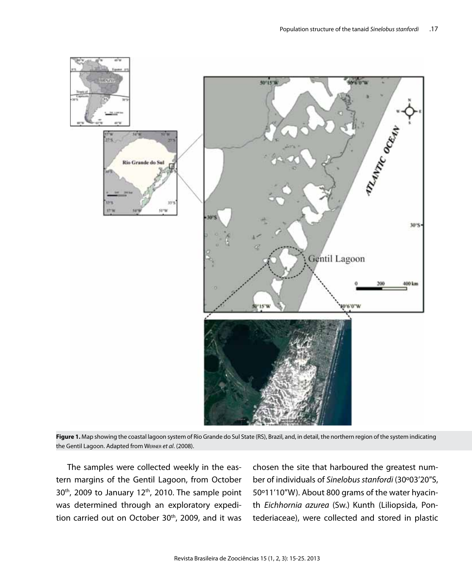

Figure 1. Map showing the coastal lagoon system of Rio Grande do Sul State (RS), Brazil, and, in detail, the northern region of the system indicating the Gentil Lagoon. Adapted from Werner *et al*. (2008).

The samples were collected weekly in the eastern margins of the Gentil Lagoon, from October  $30<sup>th</sup>$ , 2009 to January 12<sup>th</sup>, 2010. The sample point was determined through an exploratory expedition carried out on October 30<sup>th</sup>, 2009, and it was

chosen the site that harboured the greatest number of individuals of *Sinelobus stanfordi* (30º03'20"S, 50º11'10"W). About 800 grams of the water hyacinth *Eichhornia azurea* (Sw.) Kunth (Liliopsida, Pontederiaceae), were collected and stored in plastic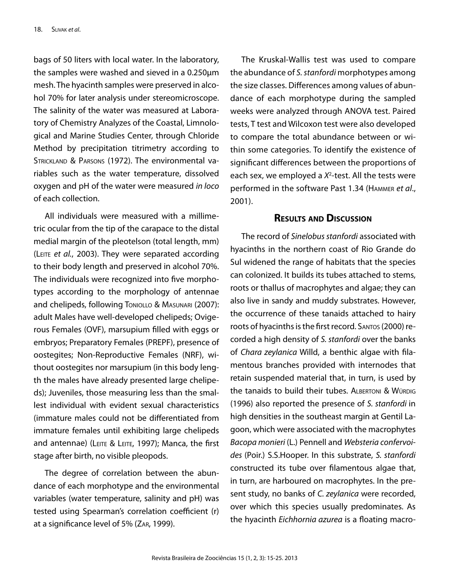bags of 50 liters with local water. In the laboratory, the samples were washed and sieved in a 0.250µm mesh. The hyacinth samples were preserved in alcohol 70% for later analysis under stereomicroscope. The salinity of the water was measured at Laboratory of Chemistry Analyzes of the Coastal, Limnological and Marine Studies Center, through Chloride Method by precipitation titrimetry according to STRICKLAND & PARSONS (1972). The environmental variables such as the water temperature, dissolved oxygen and pH of the water were measured *in loco* of each collection.

All individuals were measured with a millimetric ocular from the tip of the carapace to the distal medial margin of the pleotelson (total length, mm) (LEITE *et al.*, 2003). They were separated according to their body length and preserved in alcohol 70%. The individuals were recognized into five morphotypes according to the morphology of antennae and chelipeds, following TONIOLLO & MASUNARI (2007): adult Males have well-developed chelipeds; Ovigerous Females (OVF), marsupium filled with eggs or embryos; Preparatory Females (PREPF), presence of oostegites; Non-Reproductive Females (NRF), without oostegites nor marsupium (in this body length the males have already presented large chelipeds); Juveniles, those measuring less than the smallest individual with evident sexual characteristics (immature males could not be differentiated from immature females until exhibiting large chelipeds and antennae) (LEITE & LEITE, 1997); Manca, the first stage after birth, no visible pleopods.

The degree of correlation between the abundance of each morphotype and the environmental variables (water temperature, salinity and pH) was tested using Spearman's correlation coefficient (r) at a significance level of 5% (Zar, 1999).

The Kruskal-Wallis test was used to compare the abundance of *S. stanfordi* morphotypes among the size classes. Differences among values of abundance of each morphotype during the sampled weeks were analyzed through ANOVA test. Paired tests, T test and Wilcoxon test were also developed to compare the total abundance between or within some categories. To identify the existence of significant differences between the proportions of each sex, we employed a  $X^2$ -test. All the tests were performed in the software Past 1.34 (Hammer *et al*., 2001).

## **Results and Discussion**

The record of *Sinelobus stanfordi* associated with hyacinths in the northern coast of Rio Grande do Sul widened the range of habitats that the species can colonized. It builds its tubes attached to stems, roots or thallus of macrophytes and algae; they can also live in sandy and muddy substrates. However, the occurrence of these tanaids attached to hairy roots of hyacinths is the first record. Santos (2000) recorded a high density of *S. stanfordi* over the banks of *Chara zeylanica* Willd, a benthic algae with filamentous branches provided with internodes that retain suspended material that, in turn, is used by the tanaids to build their tubes. ALBERTONI & WÜRDIG (1996) also reported the presence of *S. stanfordi* in high densities in the southeast margin at Gentil Lagoon, which were associated with the macrophytes *Bacopa monieri* (L.) Pennell and *Websteria confervoides* (Poir.) S.S.Hooper. In this substrate, *S. stanfordi*  constructed its tube over filamentous algae that, in turn, are harboured on macrophytes. In the present study, no banks of *C. zeylanica* were recorded, over which this species usually predominates. As the hyacinth *Eichhornia azurea* is a floating macro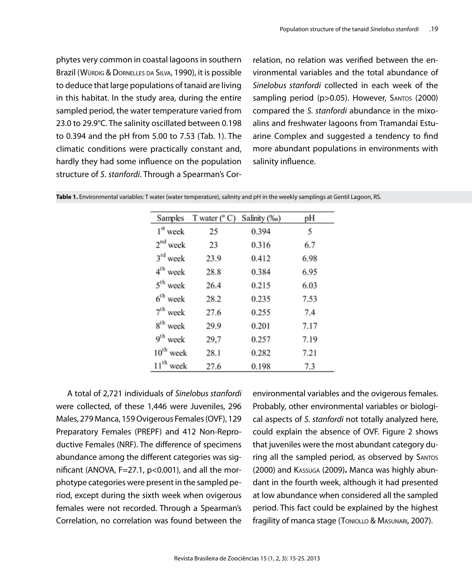phytes very common in coastal lagoons in southern Brazil (WÜRDIG & DORNELLES DA SILVA, 1990), it is possible to deduce that large populations of tanaid are living in this habitat. In the study area, during the entire sampled period, the water temperature varied from 23.0 to 29.9°C. The salinity oscillated between 0.198 to 0.394 and the pH from 5.00 to 7.53 (Tab. 1). The climatic conditions were practically constant and, hardly they had some influence on the population structure of *S*. *stanfordi*. Through a Spearman's Correlation, no relation was verified between the environmental variables and the total abundance of *Sinelobus stanfordi* collected in each week of the sampling period (p>0.05). However, SANTOS (2000) compared the *S. stanfordi* abundance in the mixoalins and freshwater lagoons from Tramandaí Estuarine Complex and suggested a tendency to find more abundant populations in environments with salinity influence.

| Samples               | T water $(^{\circ}$ C) | Salinity (‰) | pН   |
|-----------------------|------------------------|--------------|------|
| $1st$ week            | 25                     | 0.394        | 5    |
| $2nd$ week            | 23                     | 0.316        | 6.7  |
| $3rd$ week            | 23.9                   | 0.412        | 6.98 |
| 4 <sup>th</sup> week  | 28.8                   | 0.384        | 6.95 |
| $5^{\text{th}}$ week  | 26.4                   | 0.215        | 6.03 |
| $6th$ week            | 28.2                   | 0.235        | 7.53 |
| $7th$ week            | 27.6                   | 0.255        | 7.4  |
| 8 <sup>th</sup> week  | 29.9                   | 0.201        | 7.17 |
| $9th$ week            | 29,7                   | 0.257        | 7.19 |
| $10^{th}$ week        | 28.1                   | 0.282        | 7.21 |
| $11^{\text{th}}$ week | 27.6                   | 0.198        | 7.3  |

| Table 1. Environmental variables: T water (water temperature), salinity and pH in the weekly samplings at Gentil Lagoon, RS. |  |  |  |  |  |  |  |
|------------------------------------------------------------------------------------------------------------------------------|--|--|--|--|--|--|--|
|                                                                                                                              |  |  |  |  |  |  |  |

A total of 2,721 individuals of *Sinelobus stanfordi* were collected, of these 1,446 were Juveniles, 296 Males, 279 Manca, 159 Ovigerous Females (OVF), 129 Preparatory Females (PREPF) and 412 Non-Reproductive Females (NRF). The difference of specimens abundance among the different categories was significant (ANOVA, F=27.1, p<0.001), and all the morphotype categories were present in the sampled period, except during the sixth week when ovigerous females were not recorded. Through a Spearman's Correlation, no correlation was found between the

environmental variables and the ovigerous females. Probably, other environmental variables or biological aspects of *S. stanfordi* not totally analyzed here, could explain the absence of OVF. Figure 2 shows that juveniles were the most abundant category during all the sampled period, as observed by Santos (2000) and Kassuga (2009)**.** Manca was highly abundant in the fourth week, although it had presented at low abundance when considered all the sampled period. This fact could be explained by the highest fragility of manca stage (TONIOLLO & MASUNARI, 2007).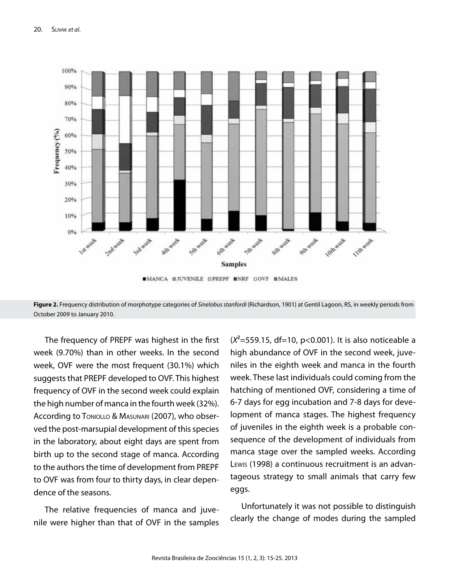

**Figure 2.** Frequency distribution of morphotype categories of *Sinelobus stanfordi* (Richardson, 1901) at Gentil Lagoon, RS, in weekly periods from October 2009 to January 2010.

The frequency of PREPF was highest in the first week (9.70%) than in other weeks. In the second week, OVF were the most frequent (30.1%) which suggests that PREPF developed to OVF. This highest frequency of OVF in the second week could explain the high number of manca in the fourth week (32%). According to TONIOLLO & MASUNARI (2007), who observed the post-marsupial development of this species in the laboratory, about eight days are spent from birth up to the second stage of manca. According to the authors the time of development from PREPF to OVF was from four to thirty days, in clear dependence of the seasons.

The relative frequencies of manca and juvenile were higher than that of OVF in the samples

 $(X^2=559.15, df=10, p<0.001)$ . It is also noticeable a high abundance of OVF in the second week, juveniles in the eighth week and manca in the fourth week. These last individuals could coming from the hatching of mentioned OVF, considering a time of 6-7 days for egg incubation and 7-8 days for development of manca stages. The highest frequency of juveniles in the eighth week is a probable consequence of the development of individuals from manca stage over the sampled weeks. According Lewis (1998) a continuous recruitment is an advantageous strategy to small animals that carry few eggs.

Unfortunately it was not possible to distinguish clearly the change of modes during the sampled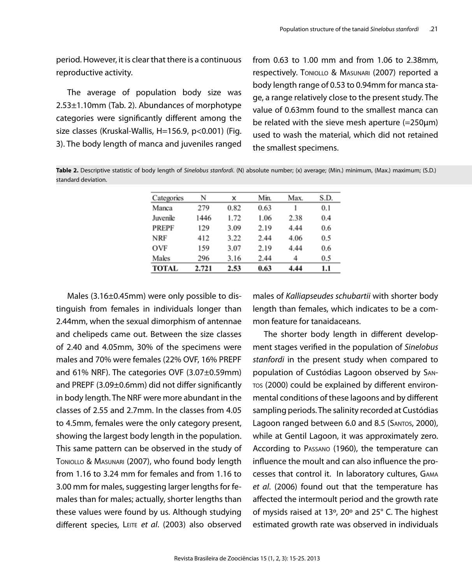period. However, it is clear that there is a continuous reproductive activity.

The average of population body size was 2.53±1.10mm (Tab. 2). Abundances of morphotype categories were significantly different among the size classes (Kruskal-Wallis, H=156.9, p<0.001) (Fig. 3). The body length of manca and juveniles ranged

from 0.63 to 1.00 mm and from 1.06 to 2.38mm, respectively. Toniollo & Masunari (2007) reported a body length range of 0.53 to 0.94mm for manca stage, a range relatively close to the present study. The value of 0.63mm found to the smallest manca can be related with the sieve mesh aperture  $(=250 \mu m)$ used to wash the material, which did not retained the smallest specimens.

**Table 2.** Descriptive statistic of body length of *Sinelobus stanfordi*. (N) absolute number; (x) average; (Min.) minimum, (Max.) maximum; (S.D.) standard deviation.

| Categories   | N     | x    | Min. | Max. | S.D. |
|--------------|-------|------|------|------|------|
| Manca        | 279   | 0.82 | 0.63 |      | 0.1  |
| Juvenile     | 1446  | 1.72 | 1.06 | 2.38 | 0.4  |
| <b>PREPF</b> | 129   | 3.09 | 2.19 | 4.44 | 0.6  |
| <b>NRF</b>   | 412   | 3.22 | 2.44 | 4.06 | 0.5  |
| OVF          | 159   | 3.07 | 2.19 | 4.44 | 0.6  |
| Males        | 296   | 3.16 | 2.44 | 4    | 0.5  |
| TOTAL        | 2.721 | 2.53 | 0.63 | 4.44 | 1.1  |

Males (3.16±0.45mm) were only possible to distinguish from females in individuals longer than 2.44mm, when the sexual dimorphism of antennae and chelipeds came out. Between the size classes of 2.40 and 4.05mm, 30% of the specimens were males and 70% were females (22% OVF, 16% PREPF and 61% NRF). The categories OVF (3.07±0.59mm) and PREPF (3.09±0.6mm) did not differ significantly in body length. The NRF were more abundant in the classes of 2.55 and 2.7mm. In the classes from 4.05 to 4.5mm, females were the only category present, showing the largest body length in the population. This same pattern can be observed in the study of Toniollo & Masunari (2007), who found body length from 1.16 to 3.24 mm for females and from 1.16 to 3.00 mm for males, suggesting larger lengths for females than for males; actually, shorter lengths than these values were found by us. Although studying different species, Leite *et al*. (2003) also observed

males of *Kalliapseudes schubartii* with shorter body length than females, which indicates to be a common feature for tanaidaceans.

The shorter body length in different development stages verified in the population of *Sinelobus stanfordi* in the present study when compared to population of Custódias Lagoon observed by Santos (2000) could be explained by different environmental conditions of these lagoons and by different sampling periods. The salinity recorded at Custódias Lagoon ranged between 6.0 and 8.5 (Santos, 2000), while at Gentil Lagoon, it was approximately zero. According to Passano (1960), the temperature can influence the moult and can also influence the processes that control it. In laboratory cultures, Gama *et al*. (2006) found out that the temperature has affected the intermoult period and the growth rate of mysids raised at 13º, 20º and 25° C. The highest estimated growth rate was observed in individuals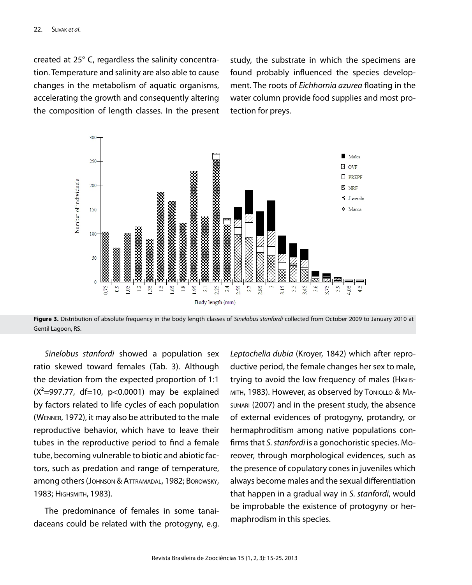created at 25° C, regardless the salinity concentration. Temperature and salinity are also able to cause changes in the metabolism of aquatic organisms, accelerating the growth and consequently altering the composition of length classes. In the present study, the substrate in which the specimens are found probably influenced the species development. The roots of *Eichhornia azurea* floating in the water column provide food supplies and most protection for preys.



**Figure 3.** Distribution of absolute frequency in the body length classes of *Sinelobus stanfordi* collected from October 2009 to January 2010 at Gentil Lagoon, RS.

*Sinelobus stanfordi* showed a population sex ratio skewed toward females (Tab. 3). Although the deviation from the expected proportion of 1:1  $(X^2=997.77, df=10, p<0.0001)$  may be explained by factors related to life cycles of each population (Wenner, 1972), it may also be attributed to the male reproductive behavior, which have to leave their tubes in the reproductive period to find a female tube, becoming vulnerable to biotic and abiotic factors, such as predation and range of temperature, among others (JOHNSON & ATTRAMADAL, 1982; BOROWSKY, 1983; Highsmith, 1983).

The predominance of females in some tanaidaceans could be related with the protogyny, e.g. *Leptochelia dubia* (Kroyer, 1842) which after reproductive period, the female changes her sex to male, trying to avoid the low frequency of males (Highs-MITH, 1983). However, as observed by TONIOLLO & MAsunari (2007) and in the present study, the absence of external evidences of protogyny, protandry, or hermaphroditism among native populations confirms that *S. stanfordi* is a gonochoristic species. Moreover, through morphological evidences, such as the presence of copulatory cones in juveniles which always become males and the sexual differentiation that happen in a gradual way in *S. stanfordi*, would be improbable the existence of protogyny or hermaphrodism in this species.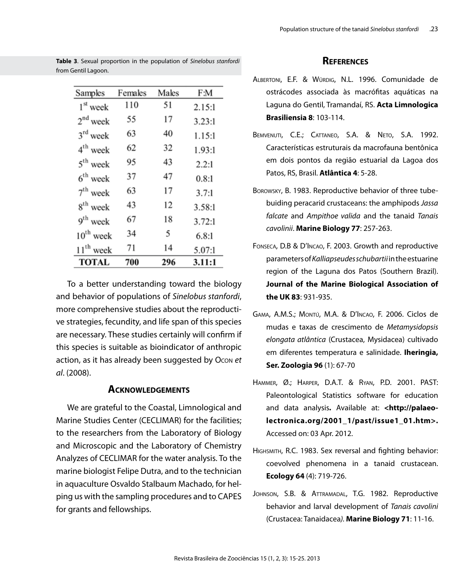| Samples               | Females | Males | F:M    |
|-----------------------|---------|-------|--------|
| $1st$ week            | 110     | 51    | 2.15:1 |
| $2nd$ week            | 55      | 17    | 3.23:1 |
| $3rd$ week            | 63      | 40    | 1.15:1 |
| $4^{\text{th}}$ week  | 62      | 32    | 1.93:1 |
| $5^{\text{th}}$ week  | 95      | 43    | 2.2:1  |
| $6^{th}$ week         | 37      | 47    | 0.8:1  |
| $7th$ week            | 63      | 17    | 3.7:1  |
| 8 <sup>th</sup> week  | 43      | 12    | 3.58:1 |
| 9 <sup>th</sup> week  | 67      | 18    | 3.72:1 |
| $10^{th}$ week        | 34      | 5     | 6.8:1  |
| $11^{\text{th}}$ week | 71      | 14    | 5.07:1 |
| <b>TOTAL</b>          | 700     | 296   | 3.11:1 |

**Table 3**. Sexual proportion in the population of *Sinelobus stanfordi* from Gentil Lagoon.

To a better understanding toward the biology and behavior of populations of *Sinelobus stanfordi*, more comprehensive studies about the reproductive strategies, fecundity, and life span of this species are necessary. These studies certainly will confirm if this species is suitable as bioindicator of anthropic action, as it has already been suggested by Ocon *et al*. (2008).

#### **Acknowledgements**

We are grateful to the Coastal, Limnological and Marine Studies Center (CECLIMAR) for the facilities; to the researchers from the Laboratory of Biology and Microscopic and the Laboratory of Chemistry Analyzes of CECLIMAR for the water analysis. To the marine biologist Felipe Dutra, and to the technician in aquaculture Osvaldo Stalbaum Machado, for helping us with the sampling procedures and to CAPES for grants and fellowships.

#### **References**

- Albertoni, E.F. & Würdig, N.L. 1996. Comunidade de ostrácodes associada às macrófitas aquáticas na Laguna do Gentil, Tramandaí, RS. **Acta Limnologica Brasiliensia 8**: 103-114.
- BEMVENUTI, C.E.; CATTANEO, S.A. & NETO, S.A. 1992. Características estruturais da macrofauna bentônica em dois pontos da região estuarial da Lagoa dos Patos, RS, Brasil. **Atlântica 4**: 5-28.
- Borowsky, B. 1983. Reproductive behavior of three tubebuiding peracarid crustaceans: the amphipods *Jassa falcate* and *Ampithoe valida* and the tanaid *Tanais cavolinii*. **Marine Biology 77**: 257-263.
- Fonseca, D.B & D'Incao, F. 2003. Growth and reproductive parameters of *Kalliapseudes schubartii* in the estuarine region of the Laguna dos Patos (Southern Brazil). **Journal of the Marine Biological Association of the UK 83**: 931-935.
- Gama, A.M.S.; Montú, M.A. & D'Incao, F. 2006. Ciclos de mudas e taxas de crescimento de *Metamysidopsis elongata atlântica* (Crustacea, Mysidacea) cultivado em diferentes temperatura e salinidade. **Iheringia, Ser. Zoologia 96** (1): 67-70
- Hammer, Ø.; Harper, D.A.T. & Ryan, P.D. 2001. PAST: Paleontological Statistics software for education and data analysis*.* Available at: **<http://palaeolectronica.org/2001\_1/past/issue1\_01.htm>.**  Accessed on: 03 Apr. 2012.
- Highsmith, R.C. 1983. Sex reversal and fighting behavior: coevolved phenomena in a tanaid crustacean. **Ecology 64** (4): 719-726.
- JOHNSON, S.B. & ATTRAMADAL, T.G. 1982. Reproductive behavior and larval development of *Tanais cavolini* (Crustacea: Tanaidacea*).* **Marine Biology 71**: 11-16.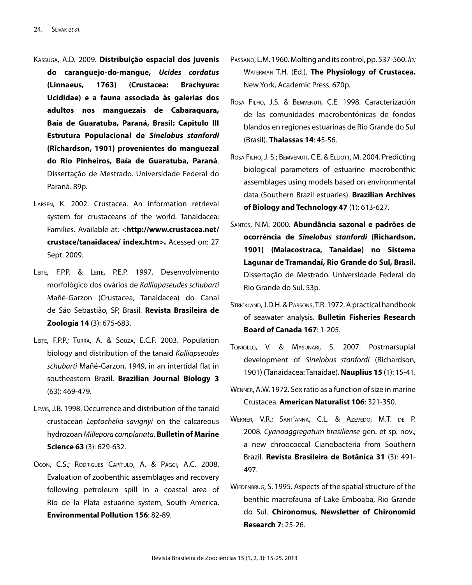- Kassuga, A.D. 2009. **Distribuição espacial dos juvenis do caranguejo-do-mangue,** *Ucides cordatus* **(Linnaeus, 1763) (Crustacea: Brachyura: Ucididae) e a fauna associada às galerias dos adultos nos manguezais de Cabaraquara, Baía de Guaratuba, Paraná, Brasil: Capitulo III Estrutura Populacional de** *Sinelobus stanfordi* **(Richardson, 1901) provenientes do manguezal do Rio Pinheiros, Baía de Guaratuba, Paraná**. Dissertação de Mestrado. Universidade Federal do Paraná. 89p.
- Larsen, K. 2002. Crustacea. An information retrieval system for crustaceans of the world. Tanaidacea: Families. Available at: <**http://www.crustacea.net/ crustace/tanaidacea/ index.htm>.** Acessed on: 27 Sept. 2009.
- LEITE, F.P.P. & LEITE, P.E.P. 1997. Desenvolvimento morfológico dos ovários de *Kalliapaseudes schubarti* Mañé-Garzon (Crustacea, Tanaidacea) do Canal de São Sebastião, SP, Brasil. **Revista Brasileira de Zoologia 14** (3): 675-683.
- LEITE, F.P.P.; TURRA, A. & SOUZA, E.C.F. 2003. Population biology and distribution of the tanaid *Kalliapseudes schubarti* Mañé-Garzon, 1949, in an intertidal flat in southeastern Brazil. **Brazilian Journal Biology 3**  (63): 469-479.
- Lewis, J.B. 1998. Occurrence and distribution of the tanaid crustacean *Leptochelia savignyi* on the calcareous hydrozoan *Millepora complanata*. **Bulletin of Marine Science 63** (3): 629-632.
- Ocon, C.S.; RODRIGUES CAPÍTULO, A. & PAGGI, A.C. 2008. Evaluation of zoobenthic assemblages and recovery following petroleum spill in a coastal area of Río de la Plata estuarine system, South America. **Environmental Pollution 156**: 82-89.
- Passano, L.M. 1960. Molting and its control, pp. 537-560. *In:*  Waterman T.H. (Ed.). **The Physiology of Crustacea.**  New York, Academic Press. 670p.
- Rosa Filho, J.S. & Bemvenuti, C.E. 1998. Caracterización de las comunidades macrobentónicas de fondos blandos en regiones estuarinas de Rio Grande do Sul (Brasil). **Thalassas 14**: 45-56.
- Rosa Filho, J. S.; Bemvenuti, C.E. & Elliott, M. 2004. Predicting biological parameters of estuarine macrobenthic assemblages using models based on environmental data (Southern Brazil estuaries). **Brazilian Archives of Biology and Technology 47** (1): 613-627.
- Santos, N.M. 2000. **Abundância sazonal e padrões de ocorrência de** *Sinelobus stanfordi* **(Richardson, 1901) (Malacostraca, Tanaidae) no Sistema Lagunar de Tramandaí, Rio Grande do Sul, Brasil.** Dissertação de Mestrado. Universidade Federal do Rio Grande do Sul. 53p.
- STRICKLAND, J.D.H. & PARSONS, T.R. 1972. A practical handbook of seawater analysis. **Bulletin Fisheries Research Board of Canada 167**: 1-205.
- Toniollo, V. & Masunari, S. 2007. Postmarsupial development of *Sinelobus stanfordi* (Richardson, 1901) (Tanaidacea: Tanaidae). **Nauplius 15** (1): 15-41.
- Wenner, A.W. 1972. Sex ratio as a function of size in marine Crustacea. **American Naturalist 106**: 321-350.
- Werner, V.R.; Sant'anna, C.L. & Azevedo, M.T. de P. 2008. *Cyanoaggregatum brasiliense* gen. et sp. nov., a new chroococcal Cianobacteria from Southern Brazil. **Revista Brasileira de Botânica 31** (3): 491- 497.
- WIEDENBRUG, S. 1995. Aspects of the spatial structure of the benthic macrofauna of Lake Emboaba, Rio Grande do Sul. **Chironomus, Newsletter of Chironomid Research 7**: 25-26.